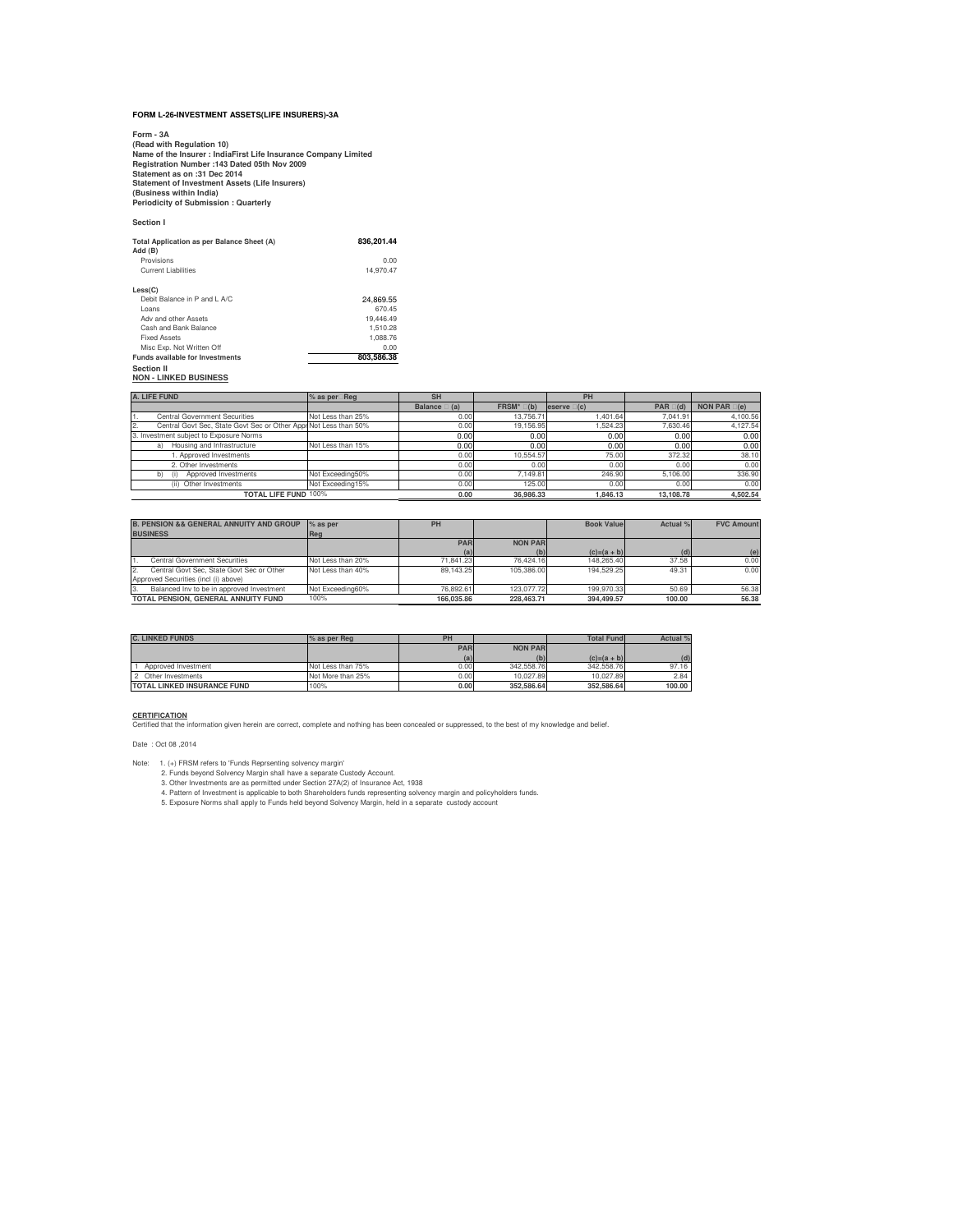## **FORM L-26-INVESTMENT ASSETS(LIFE INSURERS)-3A**

Form - 3A<br>(Read with Regulation 10)<br>Name of the Insurer : IndiaFirst Life Insurance Company Limited<br>Registration Number :143 Dated 05th Nov 2009<br>Statement as on :31 Dec 2014<br>Statement of Investment Assets (Life Insurers)<br>(

**Section I**

| Total Application as per Balance Sheet (A)<br>Add (B) | 836.201.44 |
|-------------------------------------------------------|------------|
| Provisions                                            | 0.00       |
| Current Liabilities                                   | 14.970.47  |
| Less(C)                                               |            |
| Debit Balance in P and LA/C                           | 24.869.55  |
| l oans                                                | 670.45     |
| Adv and other Assets                                  | 19.446.49  |
| Cash and Bank Balance                                 | 1.510.28   |
| <b>Fixed Assets</b>                                   | 1.088.76   |
| Misc Exp. Not Written Off                             | 0.00       |
| <b>Funds available for Investments</b>                | 803.586.38 |
| <b>Continn II</b>                                     |            |

**Section II NON - LINKED BUSINESS**

| A. LIFE FUND                                                            | % as per Reg      | <b>SH</b>             |                     | PH            |                   |                       |
|-------------------------------------------------------------------------|-------------------|-----------------------|---------------------|---------------|-------------------|-----------------------|
|                                                                         |                   | <b>Balance</b><br>(a) | <b>FRSM*</b><br>(b) | eserve<br>(c) | <b>PAR</b><br>(d) | <b>NON PAR</b><br>(e) |
| <b>Central Government Securities</b>                                    | Not Less than 25% | 0.00                  | 13.756.71           | .401.64       | 7.041.91          | 4.100.56              |
| Central Govt Sec. State Govt Sec or Other Appr Not Less than 50%<br>12. |                   | 0.00                  | 19.156.95           | .524.23       | 7.630.46          | 4.127.54              |
| 3. Investment subject to Exposure Norms                                 |                   | 0.00                  | 0.00                | 0.00          | 0.00              | 0.00                  |
| Housing and Infrastructure<br>a)                                        | Not Less than 15% | 0.00                  | 0.00                | 0.00          | 0.00              | 0.00                  |
| . Approved Investments                                                  |                   | 0.00                  | 10.554.57           | 75.00         | 372.32            | 38.10                 |
| 2. Other Investments                                                    |                   | 0.00                  | 0.00                | 0.00          | 0.00              | 0.00                  |
| Approved Investments<br>(1)<br>b)                                       | Not Exceeding50%  | 0.00                  | 7.149.81            | 246.90        | 5.106.00          | 336.90                |
| Other Investments<br>(i)                                                | Not Exceeding15%  | 0.00                  | 125.00              | 0.00          | 0.00              | 0.00                  |
| <b>TOTAL LIFE FUND 100%</b>                                             |                   | 0.00                  | 36.986.33           | 1.846.13      | 13.108.78         | 4.502.54              |

| <b>B. PENSION &amp;&amp; GENERAL ANNUITY AND GROUP</b><br><b>BUSINESS</b> | $%$ as per<br>Reg | PH         |                | <b>Book Value</b> | Actual % | <b>FVC Amount</b> |
|---------------------------------------------------------------------------|-------------------|------------|----------------|-------------------|----------|-------------------|
|                                                                           |                   | <b>PAR</b> | <b>NON PAR</b> |                   |          |                   |
|                                                                           |                   | (a)        | (b)            | $(c)=(a + b)$     | (d)      | (e)               |
| Central Government Securities                                             | Not Less than 20% | 71.841.23  | 76.424.16      | 148,265.40        | 37.58    | 0.00              |
| Central Govt Sec. State Govt Sec or Other                                 | Not Less than 40% | 89.143.25  | 105.386.00     | 194.529.25        | 49.31    | 0.00              |
| Approved Securities (incl (i) above)                                      |                   |            |                |                   |          |                   |
| Balanced Inv to be in approved Investment<br>13.                          | Not Exceeding60%  | 76.892.61  | 123,077.72     | 199.970.33        | 50.69    | 56.38             |
| TOTAL PENSION, GENERAL ANNUITY FUND                                       | 100%              | 166.035.86 | 228,463.71     | 394.499.57        | 100.00   | 56.38             |

| <b>C. LINKED FUNDS</b>             | % as per Reg      | PH         |                | <b>Total Fund</b> | Actual % |
|------------------------------------|-------------------|------------|----------------|-------------------|----------|
|                                    |                   | <b>PAR</b> | <b>NON PAR</b> |                   |          |
|                                    |                   | (a)        | (b)            | $(c)=(a + b)$     | (d)      |
| Approved Investment                | Not Less than 75% | 0.00       | 342.558.76     | 342.558.76        | 97.16    |
| 2 Other Investments                | Not More than 25% | 0.00 l     | 10.027.89      | 10.027.89         | 2.84     |
| <b>TOTAL LINKED INSURANCE FUND</b> | 100%              | 0.00       | 352,586.64     | 352,586.64        | 100.00   |

**CERTIFICATION** Certified that the information given herein are correct, complete and nothing has been concealed or suppressed, to the best of my knowledge and belief.

Date : Oct 08 ,2014

1. (+) FRSM refers to "Eurols Reprsenting solvency margin<br>1. 2. Funds beyond Solvency Margin shall have a separate Custody Account.<br>2. Other Investments are as permitted under Section 27A(2) of Insurance Act, 1938<br>4. Patte